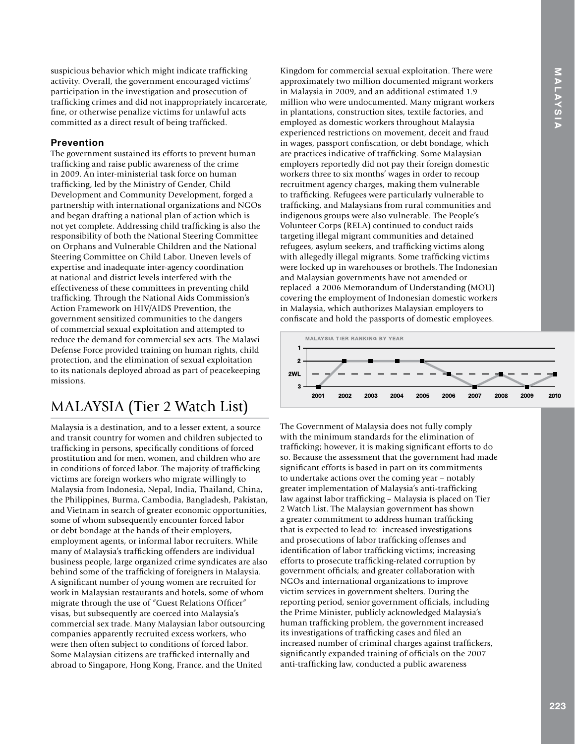suspicious behavior which might indicate trafficking activity. Overall, the government encouraged victims' participation in the investigation and prosecution of traffcking crimes and did not inappropriately incarcerate, fne, or otherwise penalize victims for unlawful acts committed as a direct result of being traffcked.

### **Prevention**

The government sustained its efforts to prevent human traffcking and raise public awareness of the crime in 2009. An inter-ministerial task force on human traffcking, led by the Ministry of Gender, Child Development and Community Development, forged a partnership with international organizations and NGOs and began drafting a national plan of action which is not yet complete. Addressing child traffcking is also the responsibility of both the National Steering Committee on Orphans and Vulnerable Children and the National Steering Committee on Child Labor. Uneven levels of expertise and inadequate inter-agency coordination at national and district levels interfered with the effectiveness of these committees in preventing child traffcking. Through the National Aids Commission's Action Framework on HIV/AIDS Prevention, the government sensitized communities to the dangers of commercial sexual exploitation and attempted to reduce the demand for commercial sex acts. The Malawi Defense Force provided training on human rights, child protection, and the elimination of sexual exploitation to its nationals deployed abroad as part of peacekeeping missions.

# MALAYSIA (Tier 2 Watch List)

Malaysia is a destination, and to a lesser extent, a source and transit country for women and children subjected to traffcking in persons, specifcally conditions of forced prostitution and for men, women, and children who are in conditions of forced labor. The majority of traffcking victims are foreign workers who migrate willingly to Malaysia from Indonesia, Nepal, India, Thailand, China, the Philippines, Burma, Cambodia, Bangladesh, Pakistan, and Vietnam in search of greater economic opportunities, some of whom subsequently encounter forced labor or debt bondage at the hands of their employers, employment agents, or informal labor recruiters. While many of Malaysia's traffcking offenders are individual business people, large organized crime syndicates are also behind some of the traffcking of foreigners in Malaysia. A signifcant number of young women are recruited for work in Malaysian restaurants and hotels, some of whom migrate through the use of "Guest Relations Officer" visas, but subsequently are coerced into Malaysia's commercial sex trade. Many Malaysian labor outsourcing companies apparently recruited excess workers, who were then often subject to conditions of forced labor. Some Malaysian citizens are traffcked internally and abroad to Singapore, Hong Kong, France, and the United

Kingdom for commercial sexual exploitation. There were approximately two million documented migrant workers in Malaysia in 2009, and an additional estimated 1.9 million who were undocumented. Many migrant workers in plantations, construction sites, textile factories, and employed as domestic workers throughout Malaysia experienced restrictions on movement, deceit and fraud in wages, passport confscation, or debt bondage, which are practices indicative of traffcking. Some Malaysian employers reportedly did not pay their foreign domestic workers three to six months' wages in order to recoup recruitment agency charges, making them vulnerable to traffcking. Refugees were particularly vulnerable to traffcking, and Malaysians from rural communities and indigenous groups were also vulnerable. The People's Volunteer Corps (RELA) continued to conduct raids targeting illegal migrant communities and detained refugees, asylum seekers, and traffcking victims along with allegedly illegal migrants. Some traffcking victims were locked up in warehouses or brothels. The Indonesian and Malaysian governments have not amended or replaced a 2006 Memorandum of Understanding (MOU) covering the employment of Indonesian domestic workers in Malaysia, which authorizes Malaysian employers to confscate and hold the passports of domestic employees.



The Government of Malaysia does not fully comply with the minimum standards for the elimination of traffcking; however, it is making signifcant efforts to do so. Because the assessment that the government had made signifcant efforts is based in part on its commitments to undertake actions over the coming year – notably greater implementation of Malaysia's anti-traffcking law against labor traffcking – Malaysia is placed on Tier 2 Watch List. The Malaysian government has shown a greater commitment to address human traffcking that is expected to lead to: increased investigations and prosecutions of labor traffcking offenses and identifcation of labor traffcking victims; increasing efforts to prosecute traffcking-related corruption by government offcials; and greater collaboration with NGOs and international organizations to improve victim services in government shelters. During the reporting period, senior government offcials, including the Prime Minister, publicly acknowledged Malaysia's human traffcking problem, the government increased its investigations of traffcking cases and fled an increased number of criminal charges against traffckers, significantly expanded training of officials on the 2007 anti-traffcking law, conducted a public awareness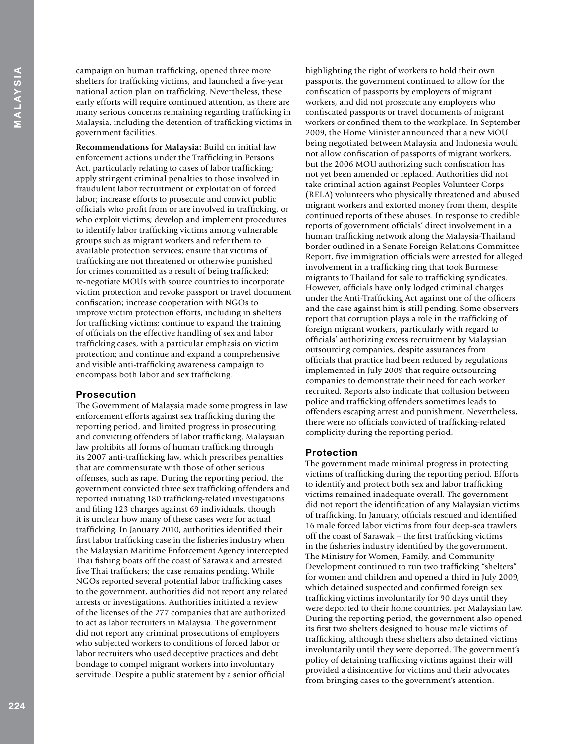4MALAYSIAN 224<br>224

campaign on human traffcking, opened three more shelters for traffcking victims, and launched a fve-year national action plan on traffcking. Nevertheless, these early efforts will require continued attention, as there are many serious concerns remaining regarding traffcking in Malaysia, including the detention of traffcking victims in government facilities.

**Recommendations for Malaysia:** Build on initial law enforcement actions under the Traffcking in Persons Act, particularly relating to cases of labor trafficking; apply stringent criminal penalties to those involved in fraudulent labor recruitment or exploitation of forced labor; increase efforts to prosecute and convict public offcials who proft from or are involved in traffcking, or who exploit victims; develop and implement procedures to identify labor traffcking victims among vulnerable groups such as migrant workers and refer them to available protection services; ensure that victims of traffcking are not threatened or otherwise punished for crimes committed as a result of being traffcked; re-negotiate MOUs with source countries to incorporate victim protection and revoke passport or travel document confscation; increase cooperation with NGOs to improve victim protection efforts, including in shelters for traffcking victims; continue to expand the training of offcials on the effective handling of sex and labor traffcking cases, with a particular emphasis on victim protection; and continue and expand a comprehensive and visible anti-traffcking awareness campaign to encompass both labor and sex trafficking.

#### **Prosecution**

The Government of Malaysia made some progress in law enforcement efforts against sex traffcking during the reporting period, and limited progress in prosecuting and convicting offenders of labor traffcking. Malaysian law prohibits all forms of human traffcking through its 2007 anti-traffcking law, which prescribes penalties that are commensurate with those of other serious offenses, such as rape. During the reporting period, the government convicted three sex traffcking offenders and reported initiating 180 traffcking-related investigations and fling 123 charges against 69 individuals, though it is unclear how many of these cases were for actual traffcking. In January 2010, authorities identifed their frst labor traffcking case in the fsheries industry when the Malaysian Maritime Enforcement Agency intercepted Thai fshing boats off the coast of Sarawak and arrested fve Thai traffckers; the case remains pending. While NGOs reported several potential labor traffcking cases to the government, authorities did not report any related arrests or investigations. Authorities initiated a review of the licenses of the 277 companies that are authorized to act as labor recruiters in Malaysia. The government did not report any criminal prosecutions of employers who subjected workers to conditions of forced labor or labor recruiters who used deceptive practices and debt bondage to compel migrant workers into involuntary servitude. Despite a public statement by a senior official

highlighting the right of workers to hold their own passports, the government continued to allow for the confscation of passports by employers of migrant workers, and did not prosecute any employers who confscated passports or travel documents of migrant workers or confned them to the workplace. In September 2009, the Home Minister announced that a new MOU being negotiated between Malaysia and Indonesia would not allow confscation of passports of migrant workers, but the 2006 MOU authorizing such confscation has not yet been amended or replaced. Authorities did not take criminal action against Peoples Volunteer Corps (RELA) volunteers who physically threatened and abused migrant workers and extorted money from them, despite continued reports of these abuses. In response to credible reports of government offcials' direct involvement in a human traffcking network along the Malaysia-Thailand border outlined in a Senate Foreign Relations Committee Report, five immigration officials were arrested for alleged involvement in a traffcking ring that took Burmese migrants to Thailand for sale to traffcking syndicates. However, offcials have only lodged criminal charges under the Anti-Trafficking Act against one of the officers and the case against him is still pending. Some observers report that corruption plays a role in the traffcking of foreign migrant workers, particularly with regard to officials' authorizing excess recruitment by Malaysian outsourcing companies, despite assurances from offcials that practice had been reduced by regulations implemented in July 2009 that require outsourcing companies to demonstrate their need for each worker recruited. Reports also indicate that collusion between police and traffcking offenders sometimes leads to offenders escaping arrest and punishment. Nevertheless, there were no offcials convicted of traffcking-related complicity during the reporting period.

#### **Protection**

The government made minimal progress in protecting victims of traffcking during the reporting period. Efforts to identify and protect both sex and labor traffcking victims remained inadequate overall. The government did not report the identifcation of any Malaysian victims of traffcking. In January, offcials rescued and identifed 16 male forced labor victims from four deep-sea trawlers off the coast of Sarawak – the frst traffcking victims in the fsheries industry identifed by the government. The Ministry for Women, Family, and Community Development continued to run two traffcking "shelters" for women and children and opened a third in July 2009, which detained suspected and confrmed foreign sex traffcking victims involuntarily for 90 days until they were deported to their home countries, per Malaysian law. During the reporting period, the government also opened its frst two shelters designed to house male victims of traffcking, although these shelters also detained victims involuntarily until they were deported. The government's policy of detaining traffcking victims against their will provided a disincentive for victims and their advocates from bringing cases to the government's attention.